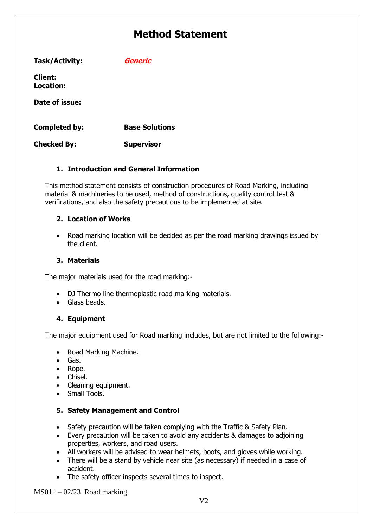| Task/Activity:              | Generic               |
|-----------------------------|-----------------------|
| <b>Client:</b><br>Location: |                       |
| Date of issue:              |                       |
| Completed by:               | <b>Base Solutions</b> |
| <b>Checked By:</b>          | <b>Supervisor</b>     |

#### **1. Introduction and General Information**

This method statement consists of construction procedures of Road Marking, including material & machineries to be used, method of constructions, quality control test & verifications, and also the safety precautions to be implemented at site.

### **2. Location of Works**

• Road marking location will be decided as per the road marking drawings issued by the client.

#### **3. Materials**

The major materials used for the road marking:-

- DJ Thermo line thermoplastic road marking materials.
- Glass beads.

#### **4. Equipment**

The major equipment used for Road marking includes, but are not limited to the following:-

- Road Marking Machine.
- Gas.
- Rope.
- Chisel.
- Cleaning equipment.
- Small Tools.

#### **5. Safety Management and Control**

- Safety precaution will be taken complying with the Traffic & Safety Plan.
- Every precaution will be taken to avoid any accidents & damages to adjoining properties, workers, and road users.
- All workers will be advised to wear helmets, boots, and gloves while working.
- There will be a stand by vehicle near site (as necessary) if needed in a case of accident.
- The safety officer inspects several times to inspect.

 $MS011 - 02/23$  Road marking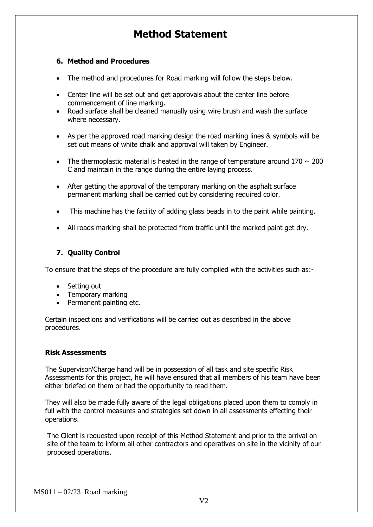#### **6. Method and Procedures**

- The method and procedures for Road marking will follow the steps below.
- Center line will be set out and get approvals about the center line before commencement of line marking.
- Road surface shall be cleaned manually using wire brush and wash the surface where necessary.
- As per the approved road marking design the road marking lines & symbols will be set out means of white chalk and approval will taken by Engineer.
- The thermoplastic material is heated in the range of temperature around  $170 \sim 200$ C and maintain in the range during the entire laying process.
- After getting the approval of the temporary marking on the asphalt surface permanent marking shall be carried out by considering required color.
- This machine has the facility of adding glass beads in to the paint while painting.
- All roads marking shall be protected from traffic until the marked paint get dry.

#### **7. Quality Control**

To ensure that the steps of the procedure are fully complied with the activities such as:-

- Setting out
- Temporary marking
- Permanent painting etc.

Certain inspections and verifications will be carried out as described in the above procedures.

#### **Risk Assessments**

The Supervisor/Charge hand will be in possession of all task and site specific Risk Assessments for this project, he will have ensured that all members of his team have been either briefed on them or had the opportunity to read them.

They will also be made fully aware of the legal obligations placed upon them to comply in full with the control measures and strategies set down in all assessments effecting their operations.

The Client is requested upon receipt of this Method Statement and prior to the arrival on site of the team to inform all other contractors and operatives on site in the vicinity of our proposed operations.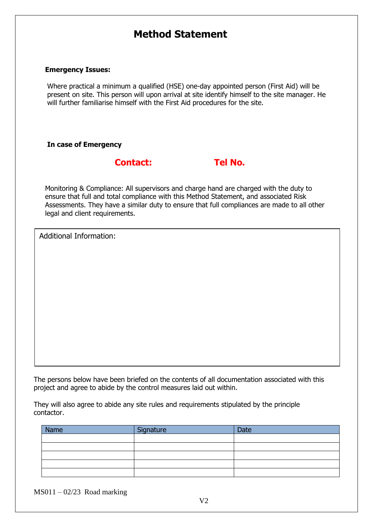#### **Emergency Issues:**

Where practical a minimum a qualified (HSE) one-day appointed person (First Aid) will be present on site. This person will upon arrival at site identify himself to the site manager. He will further familiarise himself with the First Aid procedures for the site.

#### **In case of Emergency**

## **Contact: Tel No.**

Monitoring & Compliance: All supervisors and charge hand are charged with the duty to ensure that full and total compliance with this Method Statement, and associated Risk Assessments. They have a similar duty to ensure that full compliances are made to all other legal and client requirements.

Additional Information:

The persons below have been briefed on the contents of all documentation associated with this project and agree to abide by the control measures laid out within.

They will also agree to abide any site rules and requirements stipulated by the principle contactor.

| Name | Signature | Date |
|------|-----------|------|
|      |           |      |
|      |           |      |
|      |           |      |
|      |           |      |
|      |           |      |

 $MS011 - 02/23$  Road marking